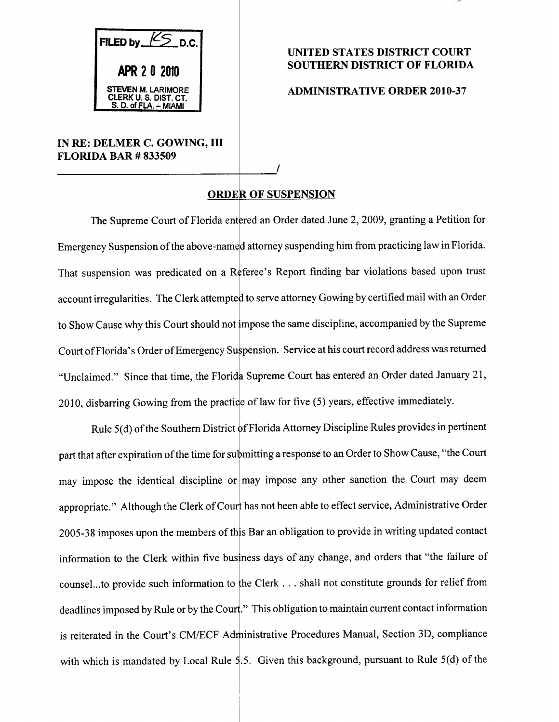$K_{\sum D.C.}$ FILED by APR 2 0 2010 STEVEN M. LARIMORE CLERK U.S.DIST.CT. S. U. OF FLA. — MIAMI

## IN RE: DELMER C. GOWING, III **FLORIDA BAR # 833509**

## UNITED STATES DISTRICT COURT SOUTHERN DISTRICT OF FLORIDA

## ADMINISTRATIVE ORDER 2010-37

## ORDER OF SUSPENSION

The Supreme Court of Florida entered an Order dated June 2, 2009, granting a Petition for Emergency Suspension of the above-named attorney suspending him from practicing law in Florida. That suspension was predicated on a Referee's Report finding bar violations based upon trust account irregularities. The Clerk attempted to serve attorney Gowing by certified mail with an Order to Show Cause why this Court should not impose the same discipline, accompanied by the Supreme Court of Florida's Order of Emergency Suspension. Service at his court record address was returned "Unclaimed." Since that time, the Florid Supreme Court has entered an Order dated January 21, 2010, disbarring Gowing from the practice of law for five (5) years, effective immediately.

Rule 5(d) of the Southern District of Florida Attorney Discipline Rules provides in pertinent part that after expiration of the time for submitting a response to an Order to Show Cause, "the Court may impose the identical discipline or may impose any other sanction the Court may deem appropriate." Although the Clerk of Cour has not been able to effect service, Administrative Order 2005-38 imposes upon the members of th Bar an obligation to provide in writing updated contact information to the Clerk within five business days of any change, and orders that "the failure of counsel...to provide such information to the Clerk . . . shall not constitute grounds for relief from deadlines imposed by Rule or by the Court." I his obligation to maintain current contact information is reiterated in the Court's CM/ECF Administrative Procedures Manual, Section 3D, compliance with which is mandated by Local Rule 5.5. Given this background, pursuant to Rule 5(d) of the